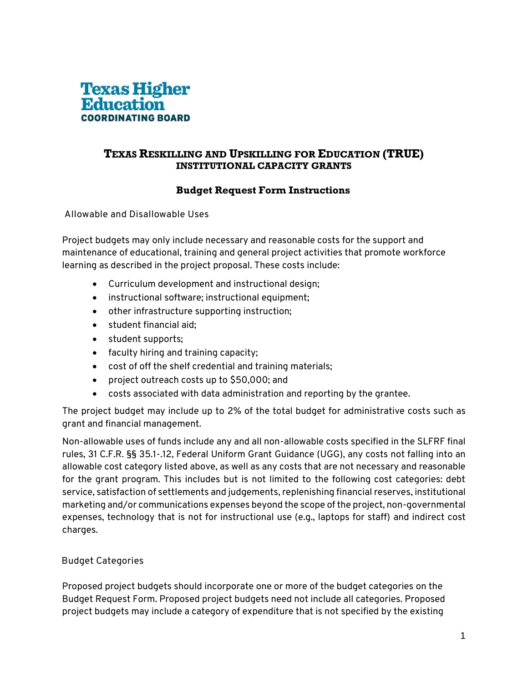

### **TEXAS RESKILLING AND UPSKILLING FOR EDUCATION (TRUE) INSTITUTIONAL CAPACITY GRANTS**

## **Budget Request Form Instructions**

**Allowable and Disallowable Uses** 

Project budgets may only include necessary and reasonable costs for the support and maintenance of educational, training and general project activities that promote workforce learning as described in the project proposal. These costs include:

- Curriculum development and instructional design;
- instructional software; instructional equipment;
- other infrastructure supporting instruction;
- student financial aid;
- student supports;
- faculty hiring and training capacity;
- cost of off the shelf credential and training materials;
- project outreach costs up to \$50,000; and
- costs associated with data administration and reporting by the grantee.

The project budget may include up to 2% of the total budget for administrative costs such as grant and financial management.

Non-allowable uses of funds include any and all non-allowable costs specified in the SLFRF final rules, 31 C.F.R. §§ 35.1-.12, Federal Uniform Grant Guidance (UGG), any costs not falling into an allowable cost category listed above, as well as any costs that are not necessary and reasonable for the grant program. This includes but is not limited to the following cost categories: debt service, satisfaction of settlements and judgements, replenishing financial reserves, institutional marketing and/or communications expenses beyond the scope of the project, non-governmental expenses, technology that is not for instructional use (e.g., laptops for staff) and indirect cost charges.

#### **Budget Categories**

Proposed project budgets should incorporate one or more of the budget categories on the Budget Request Form. Proposed project budgets need not include all categories. Proposed project budgets may include a category of expenditure that is not specified by the existing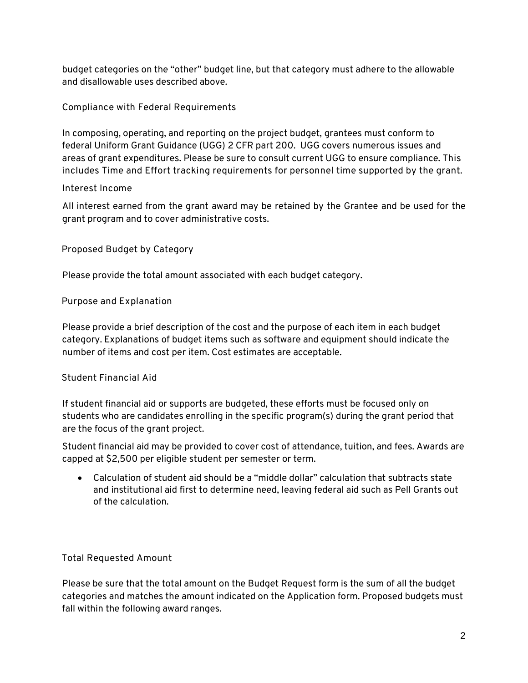budget categories on the "other" budget line, but that category must adhere to the allowable and disallowable uses described above.

**Compliance with Federal Requirements** 

In composing, operating, and reporting on the project budget, grantees must conform to federal Uniform Grant Guidance (UGG) 2 CFR part 200. UGG covers numerous issues and areas of grant expenditures. Please be sure to consult current UGG to ensure compliance. **This includes Time and Effort tracking requirements for personnel time supported by the grant.**

#### **Interest Income**

All interest earned from the grant award may be retained by the Grantee and be used for the grant program and to cover administrative costs.

**Proposed Budget by Category**

Please provide the total amount associated with each budget category.

**Purpose and Explanation** 

Please provide a brief description of the cost and the purpose of each item in each budget category. Explanations of budget items such as software and equipment should indicate the number of items and cost per item. Cost estimates are acceptable.

#### **Student Financial Aid**

If student financial aid or supports are budgeted, these efforts must be focused only on students who are candidates enrolling in the specific program(s) during the grant period that are the focus of the grant project.

Student financial aid may be provided to cover cost of attendance, tuition, and fees. Awards are capped at \$2,500 per eligible student per semester or term.

• Calculation of student aid should be a "middle dollar" calculation that subtracts state and institutional aid first to determine need, leaving federal aid such as Pell Grants out of the calculation.

**Total Requested Amount** 

Please be sure that the total amount on the Budget Request form is the sum of all the budget categories and matches the amount indicated on the Application form. Proposed budgets must fall within the following award ranges.